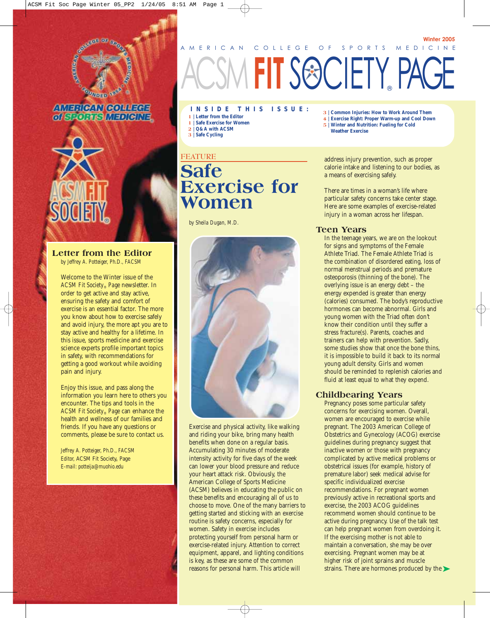





#### **Letter from the Editor**

*by Jeffrey A. Potteiger, Ph.D., FACSM*

Welcome to the Winter issue of the *ACSM Fit Society*® *Page* newsletter. In order to get active and stay active, ensuring the safety and comfort of exercise is an essential factor. The more you know about how to exercise safely and avoid injury, the more apt you are to stay active and healthy for a lifetime. In this issue, sports medicine and exercise science experts profile important topics in safety, with recommendations for getting a good workout while avoiding pain and injury.

Enjoy this issue, and pass along the information you learn here to others you encounter. The tips and tools in the *ACSM Fit Society*® *Page* can enhance the health and wellness of our families and friends. If you have any questions or comments, please be sure to contact us.

*Jeffrey A. Potteiger, Ph.D., FACSM Editor,* ACSM Fit Society*®* Page *E-mail: potteija@muohio.edu* 

# AMERICAN COLLEGE OF SPORTS MEDICINE **MEIT S®CIETY, PAGE**

**INSIDE THIS ISSUE:**

- **1 | Letter from the Editor**
- **1 | Safe Exercise for Women 2 | Q&A with ACSM**
- **3 | Safe Cycling**

#### **FEATURE**

## **Safe Exercise for Women**

*by Sheila Dugan, M.D.* 



Exercise and physical activity, like walking and riding your bike, bring many health benefits when done on a regular basis. Accumulating 30 minutes of moderate intensity activity for five days of the week can lower your blood pressure and reduce your heart attack risk. Obviously, the American College of Sports Medicine (ACSM) believes in educating the public on these benefits and encouraging all of us to choose to move. One of the many barriers to getting started and sticking with an exercise routine is safety concerns, especially for women. Safety in exercise includes protecting yourself from personal harm or exercise-related injury. Attention to correct equipment, apparel, and lighting conditions is key, as these are some of the common reasons for personal harm. This article will

**3 | Common Injuries: How to Work Around Them**

**Winter 2005**

- **4 | Exercise Right: Proper Warm-up and Cool Down 5 | Winter and Nutrition: Fueling for Cold**
- **Weather Exercise**

address injury prevention, such as proper calorie intake and listening to our bodies, as a means of exercising safely.

There are times in a woman's life where particular safety concerns take center stage. Here are some examples of exercise-related injury in a woman across her lifespan.

#### **Teen Years**

In the teenage years, we are on the lookout for signs and symptoms of the Female Athlete Triad. The Female Athlete Triad is the combination of disordered eating, loss of normal menstrual periods and premature osteoporosis (thinning of the bone). The overlying issue is an energy debt – the energy expended is greater than energy (calories) consumed. The body's reproductive hormones can become abnormal. Girls and young women with the Triad often don't know their condition until they suffer a stress fracture(s). Parents, coaches and trainers can help with prevention. Sadly, some studies show that once the bone thins, it is impossible to build it back to its normal young adult density. Girls and women should be reminded to replenish calories and fluid at least equal to what they expend.

#### **Childbearing Years**

Pregnancy poses some particular safety concerns for exercising women. Overall, women are encouraged to exercise while pregnant. The 2003 American College of Obstetrics and Gynecology (ACOG) exercise guidelines during pregnancy suggest that inactive women or those with pregnancy complicated by active medical problems or obstetrical issues (for example, history of premature labor) seek medical advise for specific individualized exercise recommendations. For pregnant women previously active in recreational sports and exercise, the 2003 ACOG guidelines recommend women should continue to be active during pregnancy. Use of the talk test can help pregnant women from overdoing it. If the exercising mother is not able to maintain a conversation, she may be over exercising. Pregnant women may be at higher risk of joint sprains and muscle strains. There are hormones produced by the  $\blacktriangleright$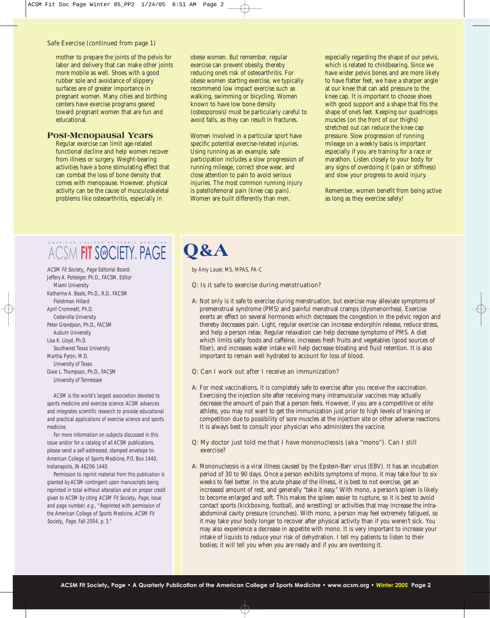#### Safe Exercise (continued from page 1)

mother to prepare the joints of the pelvis for labor and delivery that can make other joints more mobile as well. Shoes with a good rubber sole and avoidance of slippery surfaces are of greater importance in pregnant women. Many cities and birthing centers have exercise programs geared toward pregnant women that are fun and educational.

#### **Post-Menopausal Years**

Regular exercise can limit age-related functional decline and help women recover from illness or surgery. Weight-bearing activities have a bone stimulating effect that can combat the loss of bone density that comes with menopause. However, physical activity can be the cause of musculoskeletal problems like osteoarthritis, especially in

obese women. But remember, regular exercise can prevent obesity, thereby reducing one's risk of osteoarthritis. For obese women starting exercise, we typically recommend low impact exercise such as walking, swimming or bicycling. Women known to have low bone density (osteoporosis) must be particularly careful to avoid falls, as they can result in fractures.

Women involved in a particular sport have specific potential exercise-related injuries. Using running as an example, safe participation includes a slow progression of running mileage, correct shoe wear, and close attention to pain to avoid serious injuries. The most common running injury is patellofemoral pain (knee cap pain). Women are built differently than men,

especially regarding the shape of our pelvis, which is related to childbearing. Since we have wider pelvis bones and are more likely to have flatter feet, we have a sharper angle at our knee that can add pressure to the knee cap. It is important to choose shoes with good support and a shape that fits the shape of one's feet. Keeping our quadriceps muscles (on the front of our thighs) stretched out can reduce the knee cap pressure. Slow progression of running mileage on a weekly basis is important especially if you are training for a race or marathon. Listen closely to your body for any signs of overdoing it (pain or stiffness) and slow your progress to avoid injury.

Remember, women benefit from being active as long as they exercise safely!

#### AMERICAN COLLEGE OF SPORTS MEDICINE ACSM **FIT** SOCIETY® PAGE

ACSM Fit Society® Page Editorial Board: Jeffery A. Potteiger, Ph.D., FACSM, Editor Miami University Katherine A. Beals, Ph.D., R.D., FACSM Fleishman Hillard April Crommett, Ph.D. Cedarville University Peter Grandjean, Ph.D., FACSM Auburn University Lisa K. Lloyd, Ph.D. Southwest Texas University Martha Pyron, M.D. University of Texas Dixie L. Thompson, Ph.D., FACSM University of Tennessee

ACSM is the world's largest association devoted to sports medicine and exercise science. ACSM advances and integrates scientific research to provide educational and practical applications of exercise science and sports medicine.

For more information on subjects discussed in this issue and/or for a catalog of all ACSM publications, please send a self-addressed, stamped envelope to: American College of Sports Medicine, P.O. Box 1440, Indianapolis, IN 46206-1440.

Permission to reprint material from this publication is granted by ACSM contingent upon manuscripts being reprinted in total without alteration and on proper credit given to ACSM by citing ACSM Fit Society® Page, issue and page number; e.g., "Reprinted with permission of the American College of Sports Medicine, ACSM Fit Society® Page, Fall 2004, p. 3."

# **Q&A**

*by Amy Lauer, MS, MPAS, PA-C* 

#### Q: Is it safe to exercise during menstruation?

A: Not only is it safe to exercise during menstruation, but exercise may alleviate symptoms of premenstrual syndrome (PMS) and painful menstrual cramps (dysmenorrhea). Exercise exerts an effect on several hormones which decreases the congestion in the pelvic region and thereby decreases pain. Light, regular exercise can increase endorphin release, reduce stress, and help a person relax. Regular relaxation can help decrease symptoms of PMS. A diet which limits salty foods and caffeine, increases fresh fruits and vegetables (good sources of fiber), and increases water intake will help decrease bloating and fluid retention. It is also important to remain well hydrated to account for loss of blood.

#### Q: Can I work out after I receive an immunization?

A: For most vaccinations, it is completely safe to exercise after you receive the vaccination. Exercising the injection site after receiving many intramuscular vaccines may actually decrease the amount of pain that a person feels. However, if you are a competitive or elite athlete, you may not want to get the immunization just prior to high levels of training or competition due to possibility of sore muscles at the injection site or other adverse reactions. It is always best to consult your physician who administers the vaccine.

#### Q: My doctor just told me that I have mononucleosis (aka "mono"). Can I still exercise?

A: Mononucleosis is a viral illness caused by the Epstein-Barr virus (EBV). It has an incubation period of 30 to 90 days. Once a person exhibits symptoms of mono, it may take four to six weeks to feel better. In the acute phase of the illness, it is best to not exercise, get an increased amount of rest, and generally "take it easy." With mono, a person's spleen is likely to become enlarged and soft. This makes the spleen easier to rupture, so it is best to avoid contact sports (kickboxing, football, and wrestling) or activities that may increase the intraabdominal cavity pressure (crunches). With mono, a person may feel extremely fatigued, so it may take your body longer to recover after physical activity than if you weren't sick. You may also experience a decrease in appetite with mono. It is very important to increase your intake of liquids to reduce your risk of dehydration. I tell my patients to listen to their bodies; it will tell you when you are ready and if you are overdoing it.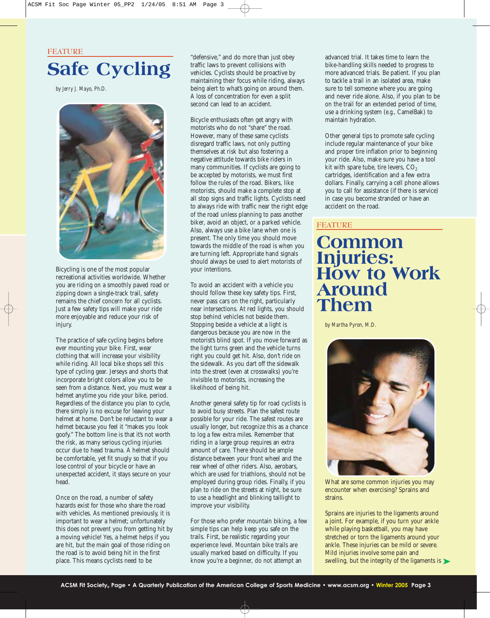**FEATURE Safe Cycling**

*by Jerry J. Mayo, Ph.D.*



Bicycling is one of the most popular recreational activities worldwide. Whether you are riding on a smoothly paved road or zipping down a single-track trail, safety remains the chief concern for all cyclists. Just a few safety tips will make your ride more enjoyable and reduce your risk of injury.

The practice of safe cycling begins before ever mounting your bike. First, wear clothing that will increase your visibility while riding. All local bike shops sell this type of cycling gear. Jerseys and shorts that incorporate bright colors allow you to be seen from a distance. Next, you must wear a helmet anytime you ride your bike, period. Regardless of the distance you plan to cycle, there simply is no excuse for leaving your helmet at home. Don't be reluctant to wear a helmet because you feel it "makes you look goofy." The bottom line is that it's not worth the risk, as many serious cycling injuries occur due to head trauma. A helmet should be comfortable, yet fit snugly so that if you lose control of your bicycle or have an unexpected accident, it stays secure on your head.

Once on the road, a number of safety hazards exist for those who share the road with vehicles. As mentioned previously, it is important to wear a helmet; unfortunately this does not prevent you from getting hit by a moving vehicle! Yes, a helmet helps if you are hit, but the main goal of those riding on the road is to avoid being hit in the first place. This means cyclists need to be

"defensive," and do more than just obey traffic laws to prevent collisions with vehicles. Cyclists should be proactive by maintaining their focus while riding, always being alert to what's going on around them. A loss of concentration for even a split second can lead to an accident.

Bicycle enthusiasts often get angry with motorists who do not "share" the road. However, many of these same cyclists disregard traffic laws, not only putting themselves at risk but also fostering a negative attitude towards bike riders in many communities. If cyclists are going to be accepted by motorists, we must first follow the rules of the road. Bikers, like motorists, should make a complete stop at all stop signs and traffic lights. Cyclists need to always ride with traffic near the right edge of the road unless planning to pass another biker, avoid an object, or a parked vehicle. Also, always use a bike lane when one is present. The only time you should move towards the middle of the road is when you are turning left. Appropriate hand signals should always be used to alert motorists of your intentions.

To avoid an accident with a vehicle you should follow these key safety tips. First, never pass cars on the right, particularly near intersections. At red lights, you should stop behind vehicles not beside them. Stopping beside a vehicle at a light is dangerous because you are now in the motorist's blind spot. If you move forward as the light turns green and the vehicle turns right you could get hit. Also, don't ride on the sidewalk. As you dart off the sidewalk into the street (even at crosswalks) you're invisible to motorists, increasing the likelihood of being hit.

Another general safety tip for road cyclists is to avoid busy streets. Plan the safest route possible for your ride. The safest routes are usually longer, but recognize this as a chance to log a few extra miles. Remember that riding in a large group requires an extra amount of care. There should be ample distance between your front wheel and the rear wheel of other riders. Also, aerobars, which are used for triathlons, should not be employed during group rides. Finally, if you plan to ride on the streets at night, be sure to use a headlight and blinking taillight to improve your visibility.

For those who prefer mountain biking, a few simple tips can help keep you safe on the trails. First, be realistic regarding your experience level. Mountain bike trails are usually marked based on difficulty. If you know you're a beginner, do not attempt an

advanced trial. It takes time to learn the bike-handling skills needed to progress to more advanced trials. Be patient. If you plan to tackle a trail in an isolated area, make sure to tell someone where you are going and never ride alone. Also, if you plan to be on the trail for an extended period of time, use a drinking system (*e.g.,* CamelBak) to maintain hydration.

Other general tips to promote safe cycling include regular maintenance of your bike and proper tire inflation prior to beginning your ride. Also, make sure you have a tool kit with spare tube, tire levers,  $CO<sub>2</sub>$ cartridges, identification and a few extra dollars. Finally, carrying a cell phone allows you to call for assistance (if there is service) in case you become stranded or have an accident on the road.

#### **FEATURE**

### **Common Injuries: How to Work Around Them**

*by Martha Pyron, M.D.*



What are some common injuries you may encounter when exercising? Sprains and strains.

swelling, but the integrity of the ligaments is  $\blacktriangleright$ Sprains are injuries to the ligaments around a joint. For example, if you turn your ankle while playing basketball, you may have stretched or torn the ligaments around your ankle. These injuries can be mild or severe. Mild injuries involve some pain and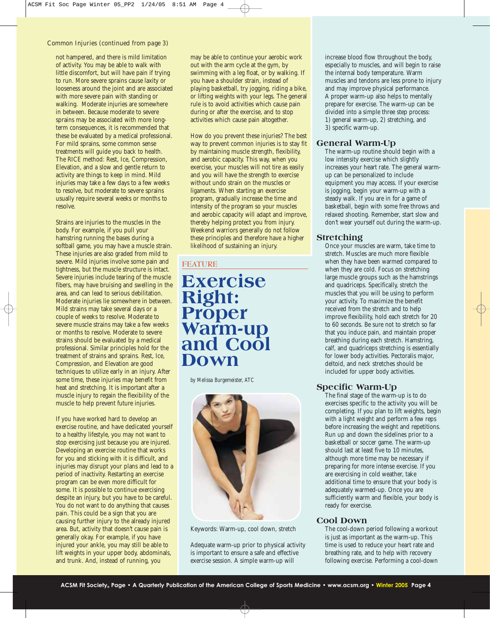#### Common Injuries (continued from page 3)

not hampered, and there is mild limitation of activity. You may be able to walk with little discomfort, but will have pain if trying to run. More severe sprains cause laxity or looseness around the joint and are associated with more severe pain with standing or walking. Moderate injuries are somewhere in between. Because moderate to severe sprains may be associated with more longterm consequences, it is recommended that these be evaluated by a medical professional. For mild sprains, some common sense treatments will guide you back to health. The RICE method: Rest, Ice, Compression, Elevation, and a slow and gentle return to activity are things to keep in mind. Mild injuries may take a few days to a few weeks to resolve, but moderate to severe sprains usually require several weeks or months to resolve.

Strains are injuries to the muscles in the body. For example, if you pull your hamstring running the bases during a softball game, you may have a muscle strain. These injuries are also graded from mild to severe. Mild injuries involve some pain and tightness, but the muscle structure is intact. Severe injuries include tearing of the muscle fibers, may have bruising and swelling in the area, and can lead to serious debilitation. Moderate injuries lie somewhere in between. Mild strains may take several days or a couple of weeks to resolve. Moderate to severe muscle strains may take a few weeks or months to resolve. Moderate to severe strains should be evaluated by a medical professional. Similar principles hold for the treatment of strains and sprains. Rest, Ice, Compression, and Elevation are good techniques to utilize early in an injury. After some time, these injuries may benefit from heat and stretching. It is important after a muscle injury to regain the flexibility of the muscle to help prevent future injuries.

If you have worked hard to develop an exercise routine, and have dedicated yourself to a healthy lifestyle, you may not want to stop exercising just because you are injured. Developing an exercise routine that works for you and sticking with it is difficult, and injuries may disrupt your plans and lead to a period of inactivity. Restarting an exercise program can be even more difficult for some. It is possible to continue exercising despite an injury, but you have to be careful. You do not want to do anything that causes pain. This could be a sign that you are causing further injury to the already injured area. But, activity that doesn't cause pain is generally okay. For example, if you have injured your ankle, you may still be able to lift weights in your upper body, abdominals, and trunk. And, instead of running, you

may be able to continue your aerobic work out with the arm cycle at the gym, by swimming with a leg float, or by walking. If you have a shoulder strain, instead of playing basketball, try jogging, riding a bike, or lifting weights with your legs. The general rule is to avoid activities which cause pain during or after the exercise, and to stop activities which cause pain altogether.

How do you prevent these injuries? The best way to prevent common injuries is to stay fit by maintaining muscle strength, flexibility, and aerobic capacity. This way, when you exercise, your muscles will not tire as easily and you will have the strength to exercise without undo strain on the muscles or ligaments. When starting an exercise program, gradually increase the time and intensity of the program so your muscles and aerobic capacity will adapt and improve, thereby helping protect you from injury. Weekend warriors generally do not follow these principles and therefore have a higher likelihood of sustaining an injury.

#### **FEATURE**

### **Exercise Right: Proper Warm-up and Cool Down**

*by Melissa Burgemeister, ATC*



Keywords: Warm-up, cool down, stretch

Adequate warm-up prior to physical activity is important to ensure a safe and effective exercise session. A simple warm-up will

increase blood flow throughout the body, especially to muscles, and will begin to raise the internal body temperature. Warm muscles and tendons are less prone to injury and may improve physical performance. A proper warm-up also helps to mentally prepare for exercise. The warm-up can be divided into a simple three step process: 1) general warm-up, 2) stretching, and 3) specific warm-up.

#### **General Warm-Up**

The warm-up routine should begin with a low intensity exercise which slightly increases your heart rate. The general warmup can be personalized to include equipment you may access. If your exercise is jogging, begin your warm-up with a steady walk. If you are in for a game of basketball, begin with some free throws and relaxed shooting. Remember, start slow and don't wear yourself out during the warm-up.

#### **Stretching**

Once your muscles are warm, take time to stretch. Muscles are much more flexible when they have been warmed compared to when they are cold. Focus on stretching large muscle groups such as the hamstrings and quadriceps. Specifically, stretch the muscles that you will be using to perform your activity. To maximize the benefit received from the stretch and to help improve flexibility, hold each stretch for 20 to 60 seconds. Be sure not to stretch so far that you induce pain, and maintain proper breathing during each stretch. Hamstring, calf, and quadriceps stretching is essentially for lower body activities. Pectoralis major, deltoid, and neck stretches should be included for upper body activities.

#### **Specific Warm-Up**

The final stage of the warm-up is to do exercises specific to the activity you will be completing. If you plan to lift weights, begin with a light weight and perform a few reps before increasing the weight and repetitions. Run up and down the sidelines prior to a basketball or soccer game. The warm-up should last at least five to 10 minutes, although more time may be necessary if preparing for more intense exercise. If you are exercising in cold weather, take additional time to ensure that your body is adequately warmed-up. Once you are sufficiently warm and flexible, your body is ready for exercise.

#### **Cool Down**

The cool-down period following a workout is just as important as the warm-up. This time is used to reduce your heart rate and breathing rate, and to help with recovery following exercise. Performing a cool-down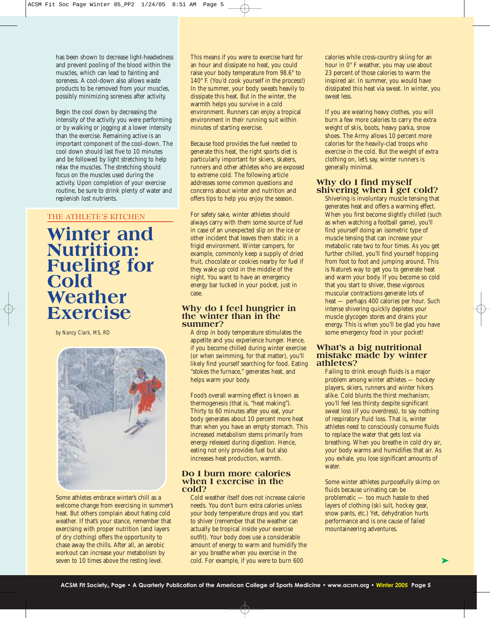has been shown to decrease light-headedness and prevent pooling of the blood within the muscles, which can lead to fainting and soreness. A cool-down also allows waste products to be removed from your muscles, possibly minimizing soreness after activity.

Begin the cool down by decreasing the intensity of the activity you were performing or by walking or jogging at a lower intensity than the exercise. Remaining active is an important component of the cool-down. The cool down should last five to 10 minutes and be followed by light stretching to help relax the muscles. The stretching should focus on the muscles used during the activity. Upon completion of your exercise routine, be sure to drink plenty of water and replenish lost nutrients.

#### **THE ATHLETE'S KITCHEN**

**Winter and Nutrition: Fueling for Cold Weather Exercise**

*by Nancy Clark, MS, RD*



Some athletes embrace winter's chill as a welcome change from exercising in summer's heat. But others complain about hating cold weather. If that's your stance, remember that exercising with proper nutrition (and layers of dry clothing) offers the opportunity to chase away the chills. After all, an aerobic workout can increase your metabolism by seven to 10 times above the resting level.

This means if you were to exercise hard for an hour and dissipate no heat, you could raise your body temperature from 98.6° to 140° F. (You'd cook yourself in the process!) In the summer, your body sweats heavily to dissipate this heat. But in the winter, the warmth helps you survive in a cold environment. Runners can enjoy a tropical environment in their running suit within minutes of starting exercise.

Because food provides the fuel needed to generate this heat, the right sports diet is particularly important for skiers, skaters, runners and other athletes who are exposed to extreme cold. The following article addresses some common questions and concerns about winter and nutrition and offers tips to help you enjoy the season.

For safety sake, winter athletes should always carry with them some source of fuel in case of an unexpected slip on the ice or other incident that leaves them static in a frigid environment. Winter campers, for example, commonly keep a supply of dried fruit, chocolate or cookies nearby for fuel if they wake up cold in the middle of the night. You want to have an emergency energy bar tucked in your pocket, just in case.

#### **Why do I feel hungrier in the winter than in the summer?**

A drop in body temperature stimulates the appetite and you experience hunger. Hence, if you become chilled during winter exercise (or when swimming, for that matter), you'll likely find yourself searching for food. Eating "stokes the furnace," generates heat, and helps warm your body.

Food's overall warming effect is known as thermogenesis (that is, "heat making"). Thirty to 60 minutes after you eat, your body generates about 10 percent more heat than when you have an empty stomach. This increased metabolism stems primarily from energy released during digestion. Hence, eating not only provides fuel but also increases heat production, warmth.

#### **Do I burn more calories when I exercise in the cold?**

Cold weather itself does not increase calorie needs. You don't burn extra calories unless your body temperature drops and you start to shiver (remember that the weather can actually be tropical inside your exercise outfit). Your body does use a considerable amount of energy to warm and humidify the air you breathe when you exercise in the cold. For example, if you were to burn 600

calories while cross-country skiing for an hour in 0° F weather, you may use about 23 percent of those calories to warm the inspired air. In summer, you would have dissipated this heat via sweat. In winter, you sweat less.

If you are wearing heavy clothes, you will burn a few more calories to carry the extra weight of skis, boots, heavy parka, snow shoes. The Army allows 10 percent more calories for the heavily-clad troops who exercise in the cold. But the weight of extra clothing on, let's say, winter runners is generally minimal.

#### **Why do I find myself shivering when I get cold?**

Shivering is involuntary muscle tensing that generates heat and offers a warming effect. When you first become slightly chilled (such as when watching a football game), you'll find yourself doing an isometric type of muscle tensing that can increase your metabolic rate two to four times. As you get further chilled, you'll find yourself hopping from foot to foot and jumping around. This is Nature's way to get you to generate heat and warm your body. If you become so cold that you start to shiver, these vigorous muscular contractions generate lots of heat — perhaps 400 calories per hour. Such intense shivering quickly depletes your muscle glycogen stores and drains your energy. This is when you'll be glad you have some emergency food in your pocket!

#### **What's a big nutritional mistake made by winter athletes?**

Failing to drink enough fluids is a major problem among winter athletes — hockey players, skiers, runners and winter hikers alike. Cold blunts the thirst mechanism; you'll feel less thirsty despite significant sweat loss (if you overdress), to say nothing of respiratory fluid loss. That is, winter athletes need to consciously consume fluids to replace the water that gets lost via breathing. When you breathe in cold dry air, your body warms and humidifies that air. As you exhale, you lose significant amounts of water.

Some winter athletes purposefully skimp on fluids because urinating can be problematic — too much hassle to shed layers of clothing (ski suit, hockey gear, snow pants, *etc*.) Yet, dehydration hurts performance and is one cause of failed mountaineering adventures.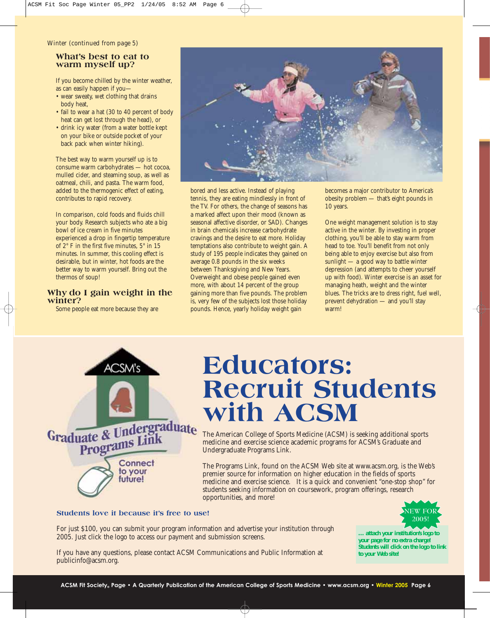#### Winter (continued from page 5)

#### **What's best to eat to warm myself up?**

If you become chilled by the winter weather, as can easily happen if you—

- wear sweaty, wet clothing that drains body heat,
- fail to wear a hat (30 to 40 percent of body heat can get lost through the head), or
- drink icy water (from a water bottle kept on your bike or outside pocket of your back pack when winter hiking).

The best way to warm yourself up is to consume warm carbohydrates — hot cocoa, mulled cider, and steaming soup, as well as oatmeal, chili, and pasta. The warm food, added to the thermogenic effect of eating, contributes to rapid recovery.

In comparison, cold foods and fluids chill your body. Research subjects who ate a big bowl of ice cream in five minutes experienced a drop in fingertip temperature of 2° F in the first five minutes, 5° in 15 minutes. In summer, this cooling effect is desirable, but in winter, hot foods are the better way to warm yourself. Bring out the thermos of soup!

#### **Why do I gain weight in the winter?**

Some people eat more because they are



bored and less active. Instead of playing tennis, they are eating mindlessly in front of the TV. For others, the change of seasons has a marked affect upon their mood (known as seasonal affective disorder, or SAD). Changes in brain chemicals increase carbohydrate cravings and the desire to eat more. Holiday temptations also contribute to weight gain. A study of 195 people indicates they gained on average 0.8 pounds in the six weeks between Thanksgiving and New Years. Overweight and obese people gained even more, with about 14 percent of the group gaining more than five pounds. The problem is, very few of the subjects lost those holiday pounds. Hence, yearly holiday weight gain

becomes a major contributor to America's obesity problem — that's eight pounds in 10 years.

One weight management solution is to stay active in the winter. By investing in proper clothing, you'll be able to stay warm from head to toe. You'll benefit from not only being able to enjoy exercise but also from sunlight — a good way to battle winter depression (and attempts to cheer yourself up with food). Winter exercise is an asset for managing heath, weight and the winter blues. The tricks are to dress right, fuel well, prevent dehydration — and you'll stay warm!



# **Educators: Recruit Students with ACSM**

The American College of Sports Medicine (ACSM) is seeking additional sports medicine and exercise science academic programs for ACSM's Graduate and Undergraduate Programs Link.

The Programs Link, found on the ACSM Web site at www.acsm.org, is the Web's premier source for information on higher education in the fields of sports medicine and exercise science. It is a quick and convenient "one-stop shop" for students seeking information on coursework, program offerings, research opportunities, and more!

#### **Students love it because it's free to use!**

For just \$100, you can submit your program information and advertise your institution through 2005. Just click the logo to access our payment and submission screens.

If you have any questions, please contact ACSM Communications and Public Information at publicinfo@acsm.org.



*… attach your institution's logo to your page for no extra charge! Students will click on the logo to link to your Web site!*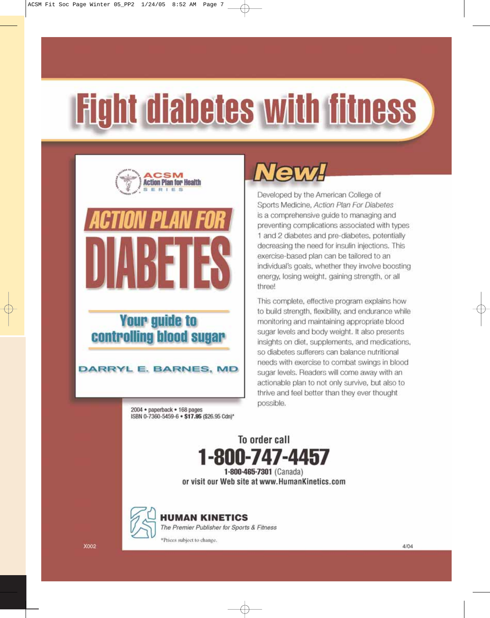# **Fight diabetes with fitness**



### **Your guide to** controlling blood sugar

#### **DARRYL E. BARNES, MD**

2004 · paperback · 168 pages ISBN 0-7360-5459-6 . \$17.95 (\$26.95 Cdn)\*

# New

Developed by the American College of Sports Medicine, Action Plan For Diabetes is a comprehensive quide to managing and preventing complications associated with types 1 and 2 diabetes and pre-diabetes, potentially decreasing the need for insulin injections. This exercise-based plan can be tailored to an individual's goals, whether they involve boosting energy, losing weight, gaining strength, or all three!

This complete, effective program explains how to build strength, flexibility, and endurance while monitoring and maintaining appropriate blood sugar levels and body weight. It also presents insights on diet, supplements, and medications, so diabetes sufferers can balance nutritional needs with exercise to combat swings in blood sugar levels. Readers will come away with an actionable plan to not only survive, but also to thrive and feel better than they ever thought possible.

To order call 1-800-747-4457 1-800-465-7301 (Canada) or visit our Web site at www.HumanKinetics.com



**HUMAN KINETICS** 

\*Prices subject to change.

The Premier Publisher for Sports & Fitness

**X002**